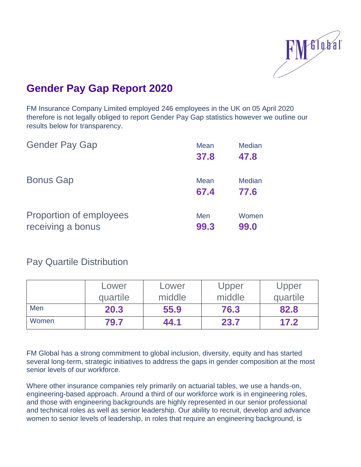

## **Gender Pay Gap Report 2020**

FM Insurance Company Limited employed 246 employees in the UK on 05 April 2020 therefore is not legally obliged to report Gender Pay Gap statistics however we outline our results below for transparency.

| <b>Gender Pay Gap</b>                        | <b>Mean</b><br>37.8 | <b>Median</b><br>47.8 |
|----------------------------------------------|---------------------|-----------------------|
| <b>Bonus Gap</b>                             | Mean<br>67.4        | <b>Median</b><br>77.6 |
| Proportion of employees<br>receiving a bonus | Men<br>99.3         | Women<br>99.0         |

Pay Quartile Distribution

|       | Lower    | Lower  | Upper  | Upper    |
|-------|----------|--------|--------|----------|
|       | quartile | middle | middle | quartile |
| Men   | 20.3     | 55.9   | 76.3   | 82.8     |
| Women | 79.7     | 44.1   | 23.7   | 17.2     |

FM Global has a strong commitment to global inclusion, diversity, equity and has started several long-term, strategic initiatives to address the gaps in gender composition at the most senior levels of our workforce.

Where other insurance companies rely primarily on actuarial tables, we use a hands-on, [engineering-based approach.](https://www.fmglobal.com/products-and-services/services/site-evaluations) Around a third of our workforce work is in engineering roles, and those with engineering backgrounds are highly represented in our senior professional and technical roles as well as senior leadership. Our ability to recruit, develop and advance women to senior levels of leadership, in roles that require an engineering background, is